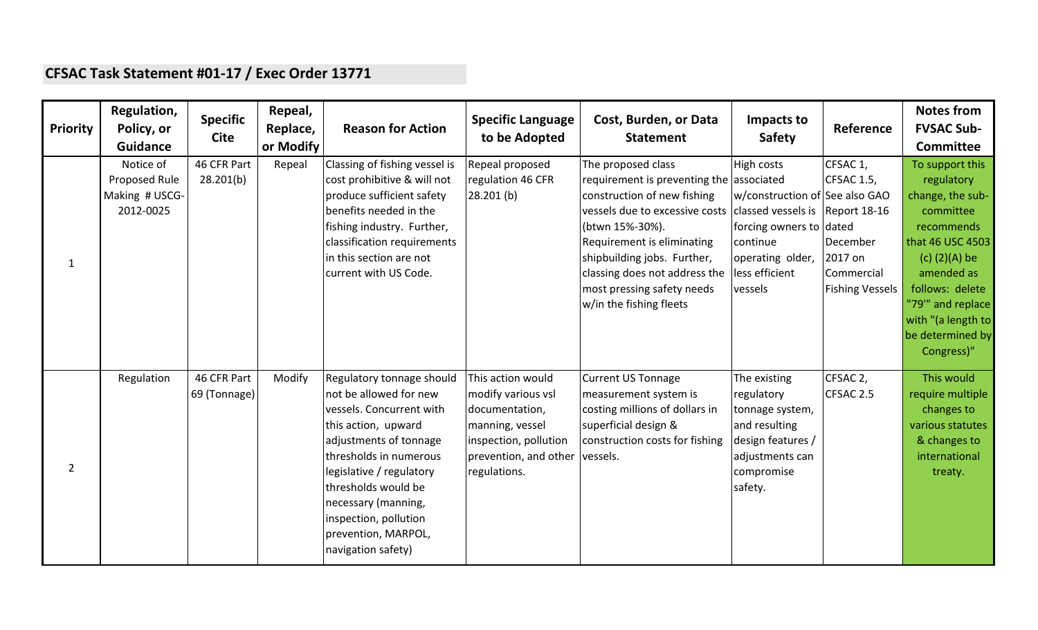## **CFSAC Task Statement #01-17 / Exec Order 13771**

| <b>Priority</b> | Regulation,<br>Policy, or<br><b>Guidance</b>              | <b>Specific</b><br><b>Cite</b> | Repeal,<br>Replace,<br>or Modify | <b>Reason for Action</b>                                                                                                                                                                                                                                                                                   | <b>Specific Language</b><br>to be Adopted                                                                                                               | Cost, Burden, or Data<br><b>Statement</b>                                                                                                                                                                                                                                                                                                 | Impacts to<br><b>Safety</b>                                                                                                          | Reference                                                                                    | <b>Notes from</b><br><b>FVSAC Sub-</b><br>Committee                                                                                                                                                                              |
|-----------------|-----------------------------------------------------------|--------------------------------|----------------------------------|------------------------------------------------------------------------------------------------------------------------------------------------------------------------------------------------------------------------------------------------------------------------------------------------------------|---------------------------------------------------------------------------------------------------------------------------------------------------------|-------------------------------------------------------------------------------------------------------------------------------------------------------------------------------------------------------------------------------------------------------------------------------------------------------------------------------------------|--------------------------------------------------------------------------------------------------------------------------------------|----------------------------------------------------------------------------------------------|----------------------------------------------------------------------------------------------------------------------------------------------------------------------------------------------------------------------------------|
| $\mathbf{1}$    | Notice of<br>Proposed Rule<br>Making # USCG-<br>2012-0025 | 46 CFR Part<br>28.201(b)       | Repeal                           | Classing of fishing vessel is<br>cost prohibitive & will not<br>produce sufficient safety<br>benefits needed in the<br>fishing industry. Further,<br>classification requirements<br>in this section are not<br>current with US Code.                                                                       | Repeal proposed<br>regulation 46 CFR<br>28.201(b)                                                                                                       | The proposed class<br>requirement is preventing the associated<br>construction of new fishing<br>vessels due to excessive costs classed vessels is Report 18-16<br>(btwn 15%-30%).<br>Requirement is eliminating<br>shipbuilding jobs. Further,<br>classing does not address the<br>most pressing safety needs<br>w/in the fishing fleets | High costs<br>w/construction of See also GAO<br>forcing owners to dated<br>continue<br>operating older,<br>less efficient<br>vessels | CFSAC 1,<br><b>CFSAC 1.5,</b><br>December<br>2017 on<br>Commercial<br><b>Fishing Vessels</b> | To support this<br>regulatory<br>change, the sub-<br>committee<br>recommends<br>that 46 USC 4503<br>$(c)$ (2)(A) be<br>amended as<br>follows: delete<br>"79" and replace<br>with "(a length to<br>be determined by<br>Congress)" |
| $\overline{2}$  | Regulation                                                | 46 CFR Part<br>69 (Tonnage)    | Modify                           | Regulatory tonnage should<br>not be allowed for new<br>vessels. Concurrent with<br>this action, upward<br>adjustments of tonnage<br>thresholds in numerous<br>legislative / regulatory<br>thresholds would be<br>necessary (manning,<br>inspection, pollution<br>prevention, MARPOL,<br>navigation safety) | This action would<br>modify various vsl<br>documentation,<br>manning, vessel<br>inspection, pollution<br>prevention, and other vessels.<br>regulations. | <b>Current US Tonnage</b><br>measurement system is<br>costing millions of dollars in<br>superficial design &<br>construction costs for fishing                                                                                                                                                                                            | The existing<br>regulatory<br>tonnage system,<br>and resulting<br>design features /<br>adjustments can<br>compromise<br>safety.      | CFSAC 2,<br>CFSAC 2.5                                                                        | This would<br>require multiple<br>changes to<br>various statutes<br>& changes to<br>international<br>treaty.                                                                                                                     |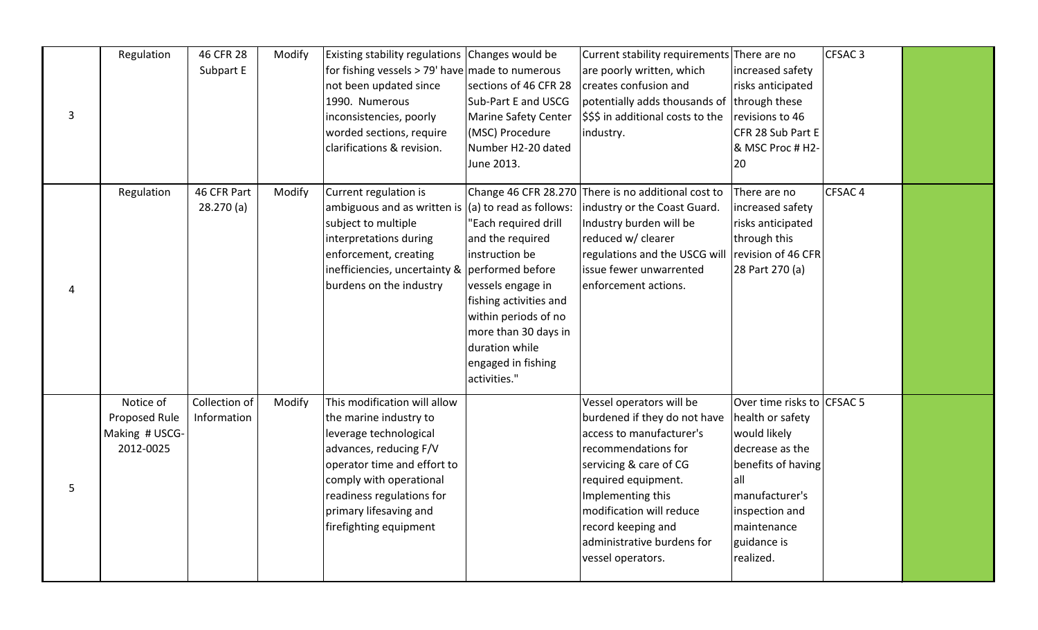|   | Regulation     | 46 CFR 28     | Modify | Existing stability regulations Changes would be   |                         | Current stability requirements There are no |                            | CFSAC <sub>3</sub> |  |
|---|----------------|---------------|--------|---------------------------------------------------|-------------------------|---------------------------------------------|----------------------------|--------------------|--|
|   |                | Subpart E     |        | for fishing vessels $>$ 79' have made to numerous |                         | are poorly written, which                   | increased safety           |                    |  |
|   |                |               |        | not been updated since                            | sections of 46 CFR 28   | creates confusion and                       | risks anticipated          |                    |  |
|   |                |               |        | 1990. Numerous                                    | Sub-Part E and USCG     | potentially adds thousands of               | through these              |                    |  |
| 3 |                |               |        | inconsistencies, poorly                           | Marine Safety Center    | \$\$\$ in additional costs to the           | revisions to 46            |                    |  |
|   |                |               |        | worded sections, require                          | (MSC) Procedure         | industry.                                   | CFR 28 Sub Part E          |                    |  |
|   |                |               |        | clarifications & revision.                        | Number H2-20 dated      |                                             | & MSC Proc # H2-           |                    |  |
|   |                |               |        |                                                   | June 2013.              |                                             | 20                         |                    |  |
|   | Regulation     | 46 CFR Part   | Modify | Current regulation is                             | Change 46 CFR 28.270    | There is no additional cost to              | There are no               | CFSAC <sub>4</sub> |  |
|   |                | 28.270(a)     |        | ambiguous and as written is                       | (a) to read as follows: | industry or the Coast Guard.                | increased safety           |                    |  |
|   |                |               |        | subject to multiple                               | "Each required drill    | Industry burden will be                     | risks anticipated          |                    |  |
|   |                |               |        | interpretations during                            | and the required        | reduced w/ clearer                          | through this               |                    |  |
|   |                |               |        | enforcement, creating                             | instruction be          | regulations and the USCG will               | revision of 46 CFR         |                    |  |
|   |                |               |        | inefficiencies, uncertainty &                     | performed before        | issue fewer unwarrented                     | 28 Part 270 (a)            |                    |  |
| 4 |                |               |        | burdens on the industry                           | vessels engage in       | enforcement actions.                        |                            |                    |  |
|   |                |               |        |                                                   | fishing activities and  |                                             |                            |                    |  |
|   |                |               |        |                                                   | within periods of no    |                                             |                            |                    |  |
|   |                |               |        |                                                   | more than 30 days in    |                                             |                            |                    |  |
|   |                |               |        |                                                   | duration while          |                                             |                            |                    |  |
|   |                |               |        |                                                   | engaged in fishing      |                                             |                            |                    |  |
|   |                |               |        |                                                   | activities."            |                                             |                            |                    |  |
|   | Notice of      | Collection of | Modify | This modification will allow                      |                         | Vessel operators will be                    | Over time risks to CFSAC 5 |                    |  |
|   | Proposed Rule  | Information   |        | the marine industry to                            |                         | burdened if they do not have                | health or safety           |                    |  |
|   | Making # USCG- |               |        | leverage technological                            |                         | access to manufacturer's                    | would likely               |                    |  |
|   | 2012-0025      |               |        | advances, reducing F/V                            |                         | recommendations for                         | decrease as the            |                    |  |
|   |                |               |        | operator time and effort to                       |                         | servicing & care of CG                      | benefits of having         |                    |  |
|   |                |               |        | comply with operational                           |                         | required equipment.                         | all                        |                    |  |
|   |                |               |        | readiness regulations for                         |                         | Implementing this                           | manufacturer's             |                    |  |
|   |                |               |        | primary lifesaving and                            |                         | modification will reduce                    | inspection and             |                    |  |
|   |                |               |        | firefighting equipment                            |                         | record keeping and                          | maintenance                |                    |  |
|   |                |               |        |                                                   |                         | ladministrative burdens for                 | guidance is                |                    |  |
|   |                |               |        |                                                   |                         | vessel operators.                           | realized.                  |                    |  |
|   |                |               |        |                                                   |                         |                                             |                            |                    |  |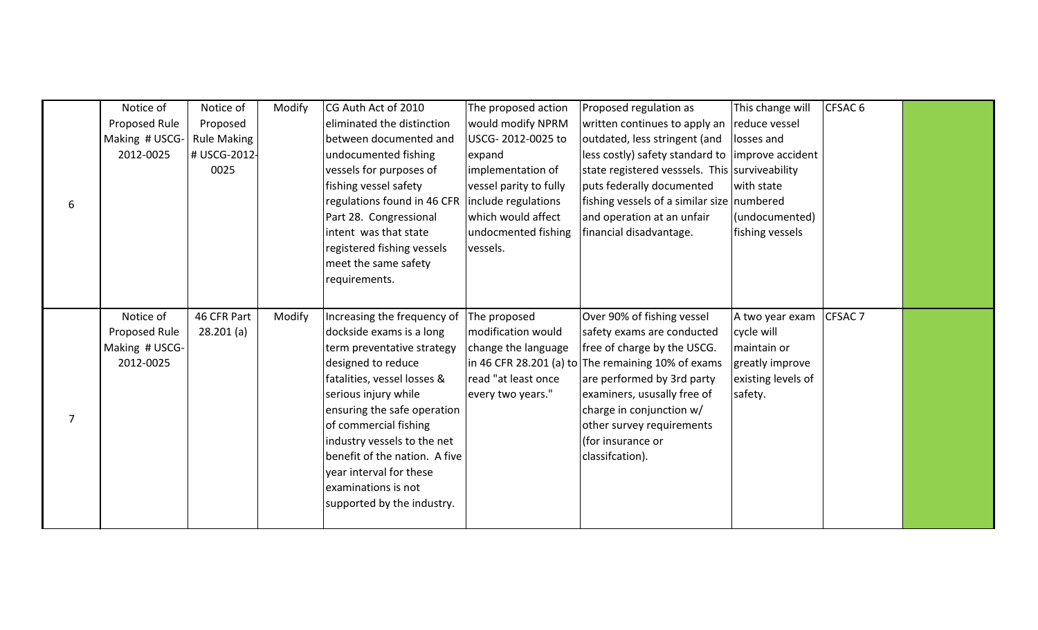|                | Notice of      | Notice of          | Modify | CG Auth Act of 2010           | The proposed action    | Proposed regulation as                                | This change will   | CFSAC <sub>6</sub> |  |
|----------------|----------------|--------------------|--------|-------------------------------|------------------------|-------------------------------------------------------|--------------------|--------------------|--|
|                | Proposed Rule  | Proposed           |        | eliminated the distinction    | would modify NPRM      | written continues to apply an                         | reduce vessel      |                    |  |
|                | Making # USCG- | <b>Rule Making</b> |        | between documented and        | USCG-2012-0025 to      | outdated, less stringent (and                         | losses and         |                    |  |
|                | 2012-0025      | # USCG-2012-       |        | undocumented fishing          | expand                 | less costly) safety standard to limprove accident     |                    |                    |  |
|                |                | 0025               |        | vessels for purposes of       | implementation of      | state registered vesssels. This surviveability        |                    |                    |  |
|                |                |                    |        | fishing vessel safety         | vessel parity to fully | puts federally documented                             | with state         |                    |  |
| 6              |                |                    |        | regulations found in 46 CFR   | include regulations    | fishing vessels of a similar size numbered            |                    |                    |  |
|                |                |                    |        | Part 28. Congressional        | which would affect     | and operation at an unfair                            | (undocumented)     |                    |  |
|                |                |                    |        | intent was that state         | undocmented fishing    | financial disadvantage.                               | fishing vessels    |                    |  |
|                |                |                    |        | registered fishing vessels    | vessels.               |                                                       |                    |                    |  |
|                |                |                    |        | meet the same safety          |                        |                                                       |                    |                    |  |
|                |                |                    |        | requirements.                 |                        |                                                       |                    |                    |  |
|                |                |                    |        |                               |                        |                                                       |                    |                    |  |
|                | Notice of      | 46 CFR Part        | Modify | Increasing the frequency of   | The proposed           | Over 90% of fishing vessel                            | A two year exam    | CFSAC <sub>7</sub> |  |
|                | Proposed Rule  | 28.201(a)          |        | dockside exams is a long      | modification would     | safety exams are conducted                            | cycle will         |                    |  |
|                | Making # USCG- |                    |        | term preventative strategy    | change the language    | free of charge by the USCG.                           | maintain or        |                    |  |
|                | 2012-0025      |                    |        | designed to reduce            |                        | $\ln 46$ CFR 28.201 (a) to The remaining 10% of exams | greatly improve    |                    |  |
|                |                |                    |        | fatalities, vessel losses &   | read "at least once    | are performed by 3rd party                            | existing levels of |                    |  |
|                |                |                    |        | serious injury while          | every two years."      | examiners, ususally free of                           | safety.            |                    |  |
|                |                |                    |        | ensuring the safe operation   |                        | charge in conjunction w/                              |                    |                    |  |
| $\overline{7}$ |                |                    |        | of commercial fishing         |                        | other survey requirements                             |                    |                    |  |
|                |                |                    |        | industry vessels to the net   |                        | (for insurance or                                     |                    |                    |  |
|                |                |                    |        | benefit of the nation. A five |                        | classifcation).                                       |                    |                    |  |
|                |                |                    |        | year interval for these       |                        |                                                       |                    |                    |  |
|                |                |                    |        | examinations is not           |                        |                                                       |                    |                    |  |
|                |                |                    |        | supported by the industry.    |                        |                                                       |                    |                    |  |
|                |                |                    |        |                               |                        |                                                       |                    |                    |  |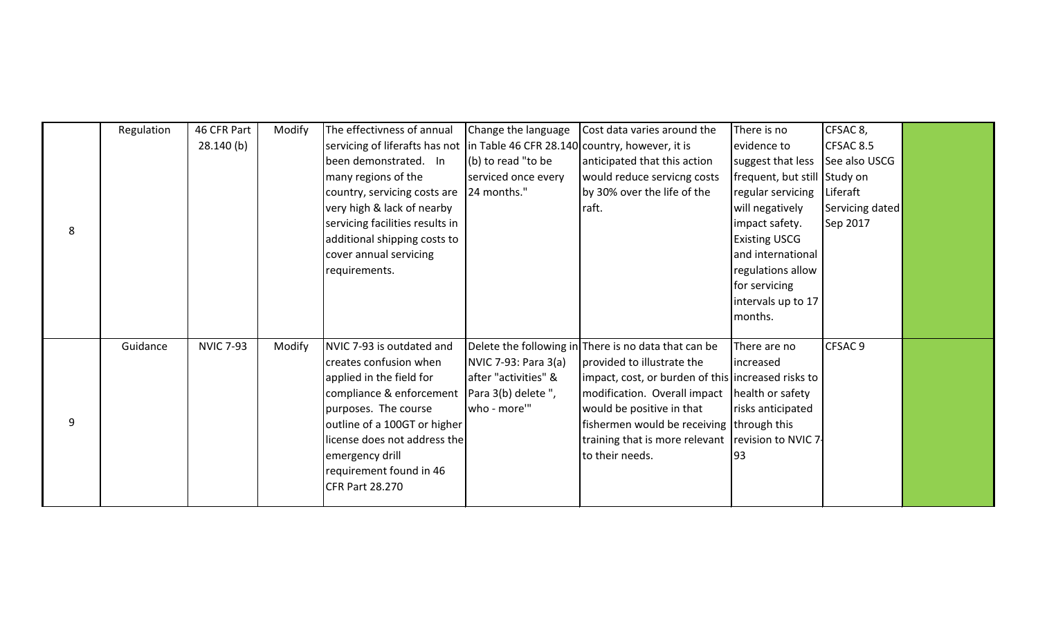|   | Regulation | 46 CFR Part      | Modify | The effectivness of annual                                                     | Change the language  | Cost data varies around the                          | There is no                     | CFSAC 8,        |  |
|---|------------|------------------|--------|--------------------------------------------------------------------------------|----------------------|------------------------------------------------------|---------------------------------|-----------------|--|
|   |            | 28.140(b)        |        | servicing of liferafts has not  in Table 46 CFR 28.140 country, however, it is |                      |                                                      | evidence to                     | CFSAC 8.5       |  |
|   |            |                  |        | been demonstrated. In                                                          | (b) to read "to be   | anticipated that this action                         | suggest that less See also USCG |                 |  |
|   |            |                  |        | many regions of the                                                            | serviced once every  | would reduce servicng costs                          | frequent, but still Study on    |                 |  |
|   |            |                  |        | country, servicing costs are                                                   | 24 months."          | by 30% over the life of the                          | regular servicing               | Liferaft        |  |
|   |            |                  |        | very high & lack of nearby                                                     |                      | raft.                                                | will negatively                 | Servicing dated |  |
| 8 |            |                  |        | servicing facilities results in                                                |                      |                                                      | impact safety.                  | Sep 2017        |  |
|   |            |                  |        | additional shipping costs to                                                   |                      |                                                      | <b>Existing USCG</b>            |                 |  |
|   |            |                  |        | cover annual servicing                                                         |                      |                                                      | and international               |                 |  |
|   |            |                  |        | requirements.                                                                  |                      |                                                      | regulations allow               |                 |  |
|   |            |                  |        |                                                                                |                      |                                                      | for servicing                   |                 |  |
|   |            |                  |        |                                                                                |                      |                                                      | intervals up to 17              |                 |  |
|   |            |                  |        |                                                                                |                      |                                                      | months.                         |                 |  |
|   | Guidance   | <b>NVIC 7-93</b> | Modify | NVIC 7-93 is outdated and                                                      |                      | Delete the following in There is no data that can be | There are no                    | CFSAC 9         |  |
|   |            |                  |        | creates confusion when                                                         | NVIC 7-93: Para 3(a) | provided to illustrate the                           | increased                       |                 |  |
|   |            |                  |        | applied in the field for                                                       | after "activities" & | impact, cost, or burden of this increased risks to   |                                 |                 |  |
|   |            |                  |        | compliance & enforcement                                                       | Para 3(b) delete",   | modification. Overall impact                         | health or safety                |                 |  |
| 9 |            |                  |        | purposes. The course                                                           | who - more""         | would be positive in that                            | risks anticipated               |                 |  |
|   |            |                  |        | outline of a 100GT or higher                                                   |                      | fishermen would be receiving   through this          |                                 |                 |  |
|   |            |                  |        | license does not address the                                                   |                      | training that is more relevant                       | revision to NVIC 7-             |                 |  |
|   |            |                  |        | emergency drill                                                                |                      | to their needs.                                      | 93                              |                 |  |
|   |            |                  |        | requirement found in 46                                                        |                      |                                                      |                                 |                 |  |
|   |            |                  |        | <b>CFR Part 28.270</b>                                                         |                      |                                                      |                                 |                 |  |
|   |            |                  |        |                                                                                |                      |                                                      |                                 |                 |  |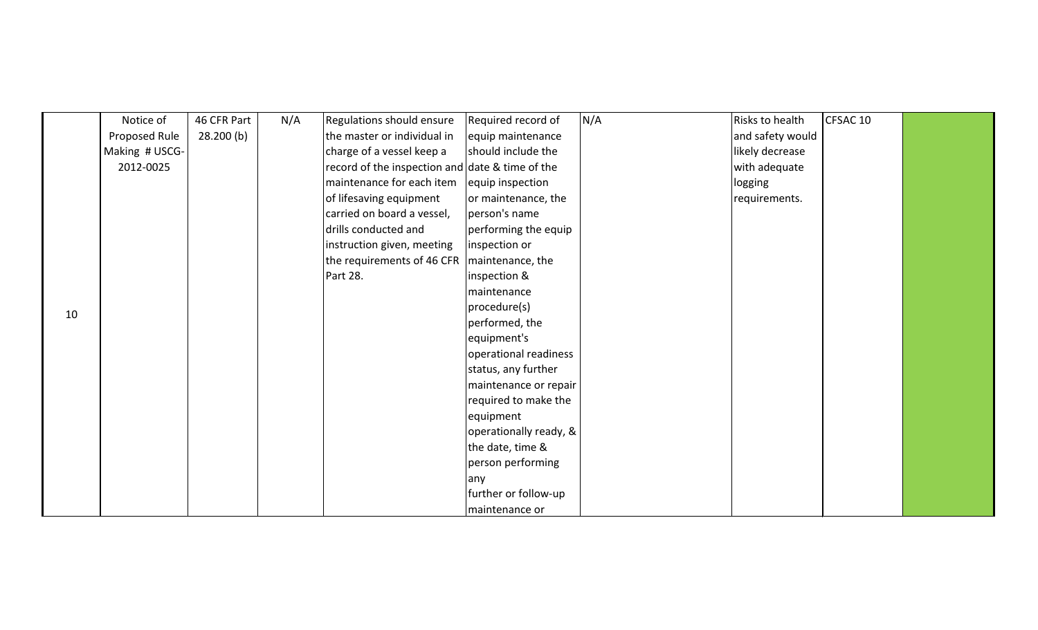|    | Notice of      | 46 CFR Part | N/A | Regulations should ensure                       | Required record of     | N/A | Risks to health  | CFSAC 10 |  |
|----|----------------|-------------|-----|-------------------------------------------------|------------------------|-----|------------------|----------|--|
|    | Proposed Rule  | 28.200(b)   |     | the master or individual in                     | equip maintenance      |     | and safety would |          |  |
|    | Making # USCG- |             |     | charge of a vessel keep a                       | should include the     |     | likely decrease  |          |  |
|    | 2012-0025      |             |     | record of the inspection and date & time of the |                        |     | with adequate    |          |  |
|    |                |             |     | maintenance for each item                       | equip inspection       |     | logging          |          |  |
|    |                |             |     | of lifesaving equipment                         | or maintenance, the    |     | requirements.    |          |  |
|    |                |             |     | carried on board a vessel,                      | person's name          |     |                  |          |  |
|    |                |             |     | drills conducted and                            | performing the equip   |     |                  |          |  |
|    |                |             |     | instruction given, meeting                      | inspection or          |     |                  |          |  |
|    |                |             |     | the requirements of 46 CFR   maintenance, the   |                        |     |                  |          |  |
|    |                |             |     | Part 28.                                        | inspection &           |     |                  |          |  |
|    |                |             |     |                                                 | maintenance            |     |                  |          |  |
| 10 |                |             |     |                                                 | procedure(s)           |     |                  |          |  |
|    |                |             |     |                                                 | performed, the         |     |                  |          |  |
|    |                |             |     |                                                 | equipment's            |     |                  |          |  |
|    |                |             |     |                                                 | operational readiness  |     |                  |          |  |
|    |                |             |     |                                                 | status, any further    |     |                  |          |  |
|    |                |             |     |                                                 | maintenance or repair  |     |                  |          |  |
|    |                |             |     |                                                 | required to make the   |     |                  |          |  |
|    |                |             |     |                                                 | equipment              |     |                  |          |  |
|    |                |             |     |                                                 | operationally ready, & |     |                  |          |  |
|    |                |             |     |                                                 | the date, time &       |     |                  |          |  |
|    |                |             |     |                                                 | person performing      |     |                  |          |  |
|    |                |             |     |                                                 | any                    |     |                  |          |  |
|    |                |             |     |                                                 | further or follow-up   |     |                  |          |  |
|    |                |             |     |                                                 | maintenance or         |     |                  |          |  |